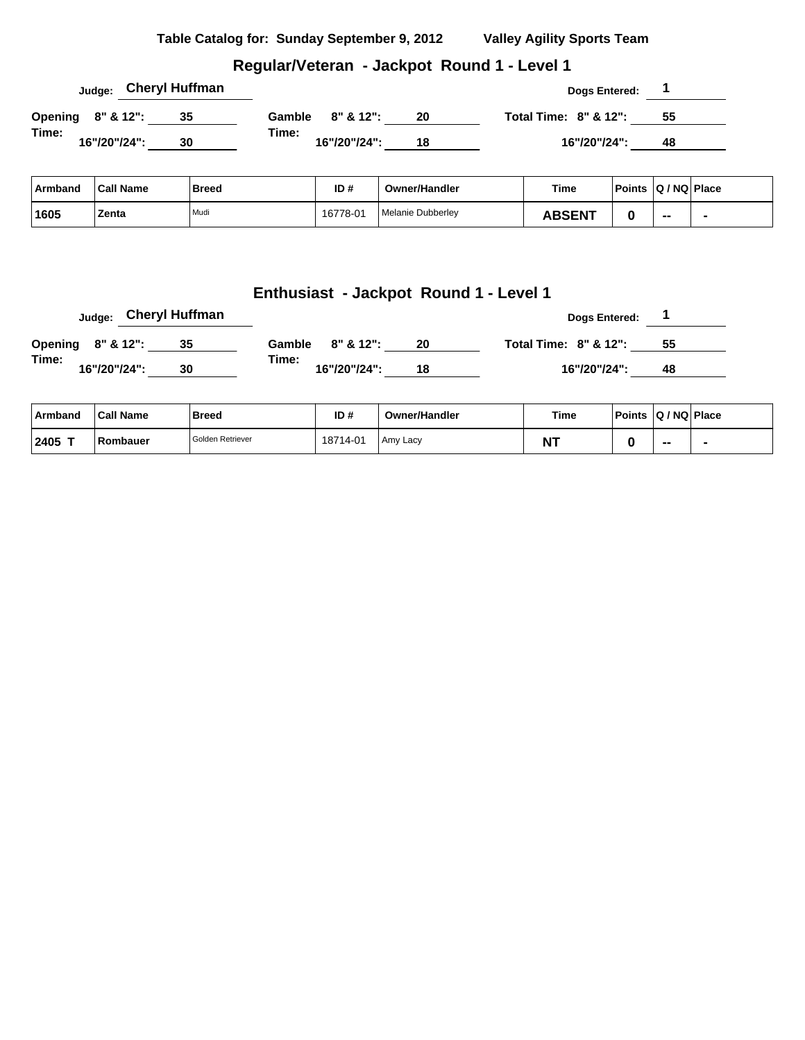#### **Regular/Veteran - Jackpot Round 1 - Level 1**

|                   |              |  |    | Judge: Cheryl Huffman |                  |              |    |                                  | Dogs Entered: |    |  |
|-------------------|--------------|--|----|-----------------------|------------------|--------------|----|----------------------------------|---------------|----|--|
| Opening 8" & 12": |              |  | 35 |                       | Gamble 8" & 12": |              | 20 | <b>Total Time: 8" &amp; 12":</b> |               | 55 |  |
| Time:             | 16"/20"/24": |  | 30 |                       | Time:            | 16"/20"/24": | 18 |                                  | 16"/20"/24":  | 48 |  |

| Armband | ˈCall Name | <b>Breed</b> | ID#      | <b>Owner/Handler</b> | Time          | Points Q / NQ Place |    |  |
|---------|------------|--------------|----------|----------------------|---------------|---------------------|----|--|
| 1605    | Zenta      | Mudi         | 16778-01 | Melanie Dubberlev    | <b>\BSENT</b> |                     | -- |  |

|       | Judge: Cheryl Huffman |    |       |                       |    | <b>Dogs Entered:</b>  |    |  |
|-------|-----------------------|----|-------|-----------------------|----|-----------------------|----|--|
|       | Opening 8" & 12":     | 35 |       | Gamble $8'' \& 12"$ : | 20 | Total Time: 8" & 12": | 55 |  |
| Time: | 16"/20"/24":          | 30 | Time: | 16"/20"/24":          | 18 | 16"/20"/24":          | 48 |  |

| ∣ Armband | <b>Call Name</b> | <b>Breed</b>     | ID#      | <b>Owner/Handler</b> | Time           | Points   Q / NQ   Place |  |
|-----------|------------------|------------------|----------|----------------------|----------------|-------------------------|--|
| 2405 T    | Rombauer         | Golden Retriever | 18714-01 | Amy Lacy             | M <sub>T</sub> |                         |  |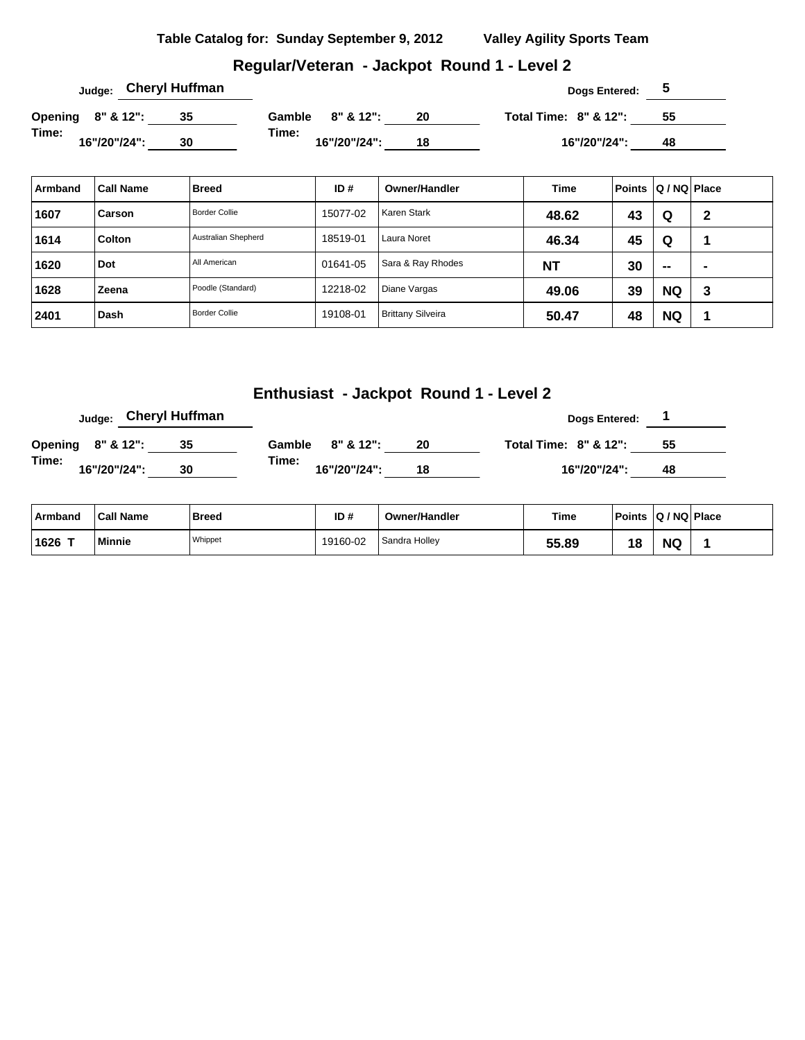### **Regular/Veteran - Jackpot Round 1 - Level 2**

|                   |              | <sub>Judge:</sub> Cheryl Huffman |        |              |    | Dogs Entered:                    |    |  |
|-------------------|--------------|----------------------------------|--------|--------------|----|----------------------------------|----|--|
| Opening 8" & 12": |              | 35                               | Gamble | 8" & 12":    | 20 | <b>Total Time: 8" &amp; 12":</b> | 55 |  |
| Time:             | 16"/20"/24": | 30                               | Time:  | 16"/20"/24": | 18 | 16"/20"/24":                     | 48 |  |

| Armband | <b>Call Name</b> | <b>Breed</b>         | ID#      | <b>Owner/Handler</b>     | <b>Time</b> | <b>Points</b> | Q / NQ Place |             |
|---------|------------------|----------------------|----------|--------------------------|-------------|---------------|--------------|-------------|
| 1607    | Carson           | <b>Border Collie</b> | 15077-02 | Karen Stark              | 48.62       | 43            | Q            | $\mathbf 2$ |
| 1614    | <b>Colton</b>    | Australian Shepherd  | 18519-01 | Laura Noret              | 46.34       | 45            | Q            |             |
| 1620    | Dot              | All American         | 01641-05 | Sara & Ray Rhodes        | <b>NT</b>   | 30            | $\sim$       | -           |
| 1628    | Zeena            | Poodle (Standard)    | 12218-02 | Diane Vargas             | 49.06       | 39            | <b>NQ</b>    | 3           |
| 2401    | Dash             | <b>Border Collie</b> | 19108-01 | <b>Brittany Silveira</b> | 50.47       | 48            | <b>NQ</b>    |             |

| Judge:                | Cheryl Huffman |       |                  |    | <b>Dogs Entered:</b>  |    |
|-----------------------|----------------|-------|------------------|----|-----------------------|----|
| Opening 8" & 12":     |                |       | Gamble 8" & 12": | 20 | Total Time: 8" & 12": | 55 |
| Time:<br>16"/20"/24": | 30             | Time: | 16"/20"/24":     | 18 | 16"/20"/24":          | 48 |

| Armband | <b>Call Name</b> | Breed   | ID#      | Owner/Handler | Time  | Points | $ Q/NQ $ Place |  |
|---------|------------------|---------|----------|---------------|-------|--------|----------------|--|
| 1626    | Minnie           | Whippet | 19160-02 | Sandra Holley | 55.89 | 18     | <b>NG</b>      |  |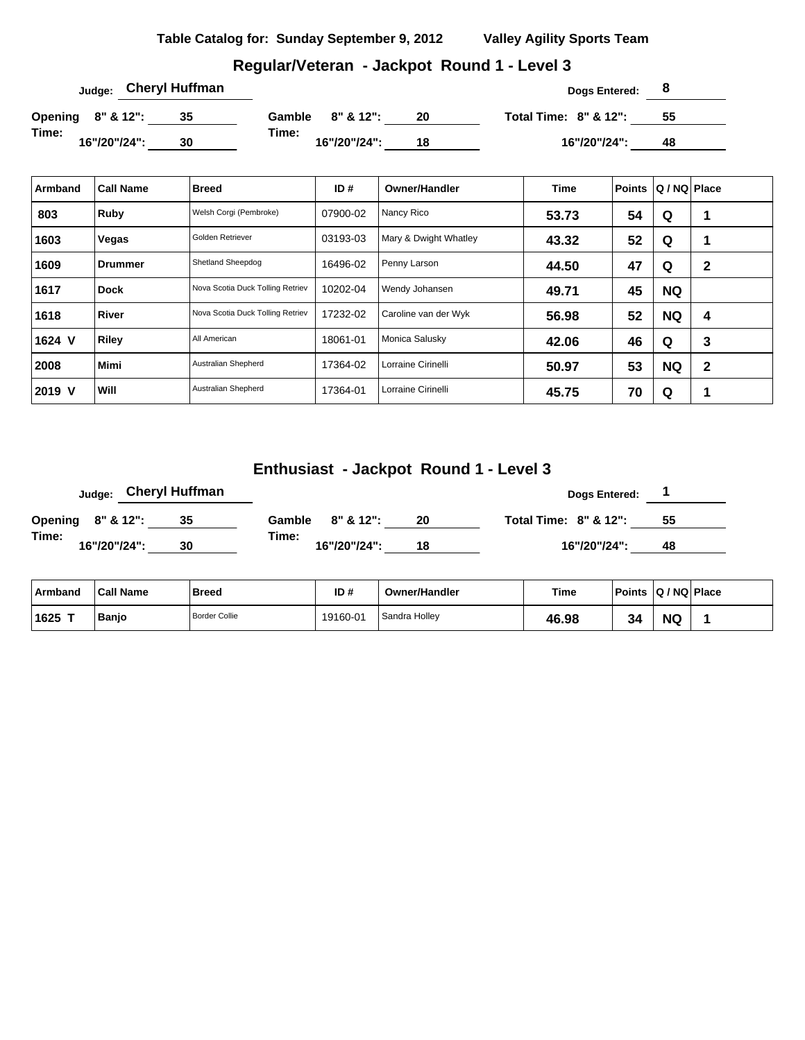| Table Catalog for: Sunday September 9, 2012 | <b>Valley Agility Sports Team</b> |
|---------------------------------------------|-----------------------------------|
|                                             |                                   |

### **Regular/Veteran - Jackpot Round 1 - Level 3**

| <sub>Judge:</sub> Cheryl Huffman |    |                       |    | Dogs Entered:                    |    |  |
|----------------------------------|----|-----------------------|----|----------------------------------|----|--|
| Opening 8" & 12":                | 35 | Gamble 8" & 12":      | 20 | <b>Total Time: 8" &amp; 12":</b> | 55 |  |
| Time:<br>16"/20"/24":            | 30 | Time:<br>16"/20"/24": | 18 | 16"/20"/24":                     | 48 |  |

| Armband | <b>Call Name</b> | <b>Breed</b>                     | ID#      | <b>Owner/Handler</b>  | <b>Time</b> | Points | Q / NQ   Place |              |
|---------|------------------|----------------------------------|----------|-----------------------|-------------|--------|----------------|--------------|
| 803     | Ruby             | Welsh Corgi (Pembroke)           | 07900-02 | Nancy Rico            | 53.73       | 54     | Q              |              |
| 1603    | Vegas            | Golden Retriever                 | 03193-03 | Mary & Dwight Whatley | 43.32       | 52     | Q              |              |
| 1609    | <b>Drummer</b>   | Shetland Sheepdog                | 16496-02 | Penny Larson          | 44.50       | 47     | Q              | 2            |
| 1617    | <b>Dock</b>      | Nova Scotia Duck Tolling Retriev | 10202-04 | Wendy Johansen        | 49.71       | 45     | <b>NQ</b>      |              |
| 1618    | River            | Nova Scotia Duck Tolling Retriev | 17232-02 | Caroline van der Wyk  | 56.98       | 52     | <b>NQ</b>      | 4            |
| 1624 V  | Riley            | All American                     | 18061-01 | Monica Salusky        | 42.06       | 46     | Q              | 3            |
| 2008    | <b>Mimi</b>      | Australian Shepherd              | 17364-02 | Lorraine Cirinelli    | 50.97       | 53     | <b>NQ</b>      | $\mathbf{2}$ |
| 2019 V  | Will             | Australian Shepherd              | 17364-01 | Lorraine Cirinelli    | 45.75       | 70     | Q              | ٠            |

|                   |  |              | <sub>Judge:</sub> Cheryl Huffman |                       |              |    |  | Dogs Entered:                    |    |  |
|-------------------|--|--------------|----------------------------------|-----------------------|--------------|----|--|----------------------------------|----|--|
| Opening 8" & 12": |  |              | 35                               | Gamble $8'' \& 12"$ : |              | 20 |  | <b>Total Time: 8" &amp; 12":</b> | 55 |  |
| Time:             |  | 16"/20"/24": | 30                               | Time:                 | 16"/20"/24": | 18 |  | 16"/20"/24":                     | 48 |  |

| <b>Armband</b> | <b>Call Name</b> | <b>Breed</b>         | ID#      | <b>Owner/Handler</b> | Time  | <b>Points</b> | $ Q/NQ $ Place |  |
|----------------|------------------|----------------------|----------|----------------------|-------|---------------|----------------|--|
| ⊺1625          | <b>Banjo</b>     | <b>Border Collie</b> | 19160-01 | Sandra Holley        | 46.98 | 34            | <b>NQ</b>      |  |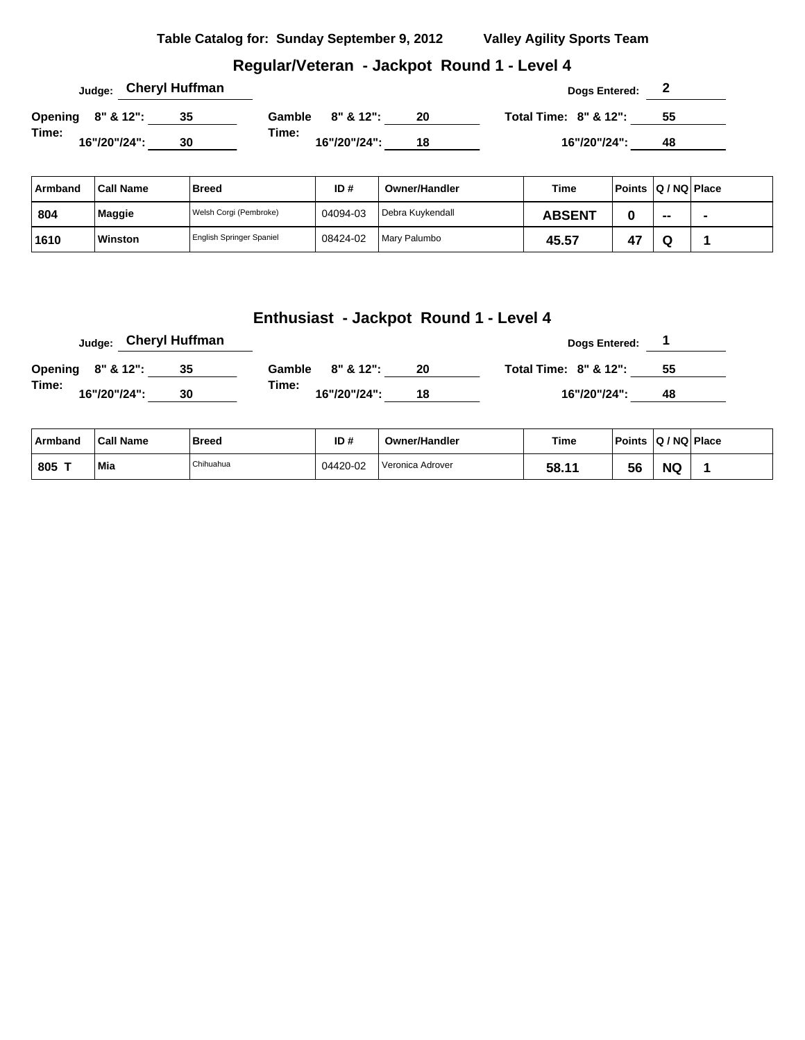#### **Regular/Veteran - Jackpot Round 1 - Level 4**

|                   |              |  |  | Judge: Cheryl Huffman |                       |              |    |  | Dogs Entered:                    | $\epsilon$ |  |
|-------------------|--------------|--|--|-----------------------|-----------------------|--------------|----|--|----------------------------------|------------|--|
| Opening 8" & 12": |              |  |  | 35                    | Gamble $8'' \& 12"$ : |              | 20 |  | <b>Total Time: 8" &amp; 12":</b> | 55         |  |
| Time:             | 16"/20"/24": |  |  | 30                    | Time:                 | 16"/20"/24": | 18 |  | 16"/20"/24":                     | 48         |  |

| Armband | <b>Call Name</b> | Breed                    | ID#      | Owner/Handler    | <b>Time</b>   |    | Points   Q / NQ   Place  |                          |
|---------|------------------|--------------------------|----------|------------------|---------------|----|--------------------------|--------------------------|
| 804     | Maggie           | Welsh Corgi (Pembroke)   | 04094-03 | Debra Kuvkendall | <b>ABSENT</b> |    | $\overline{\phantom{a}}$ | $\overline{\phantom{a}}$ |
| 1610    | Winston          | English Springer Spaniel | 08424-02 | Mary Palumbo     | 45.57         | 4. | ື                        |                          |

| <sub>Judge:</sub> Cheryl Huffman |    |        |              |    | Dogs Entered:                    |    |
|----------------------------------|----|--------|--------------|----|----------------------------------|----|
| Opening 8" & 12":                |    | Gamble | 8" & 12":    | 20 | <b>Total Time: 8" &amp; 12":</b> | 55 |
| Time:<br>16"/20"/24":            | 30 | Time:  | 16"/20"/24": | 18 | 16"/20"/24":                     | 48 |

| ∣ Armband     | <b>Call Name</b> | <b>Breed</b> | ID#      | <b>Owner/Handler</b> | Time  | <b>Points</b> | $ Q/NQ $ Place |  |
|---------------|------------------|--------------|----------|----------------------|-------|---------------|----------------|--|
| $.805$ $\tau$ | Mia              | Chihuahua    | 04420-02 | Veronica Adrover     | 58.11 | 56            | <b>NG</b>      |  |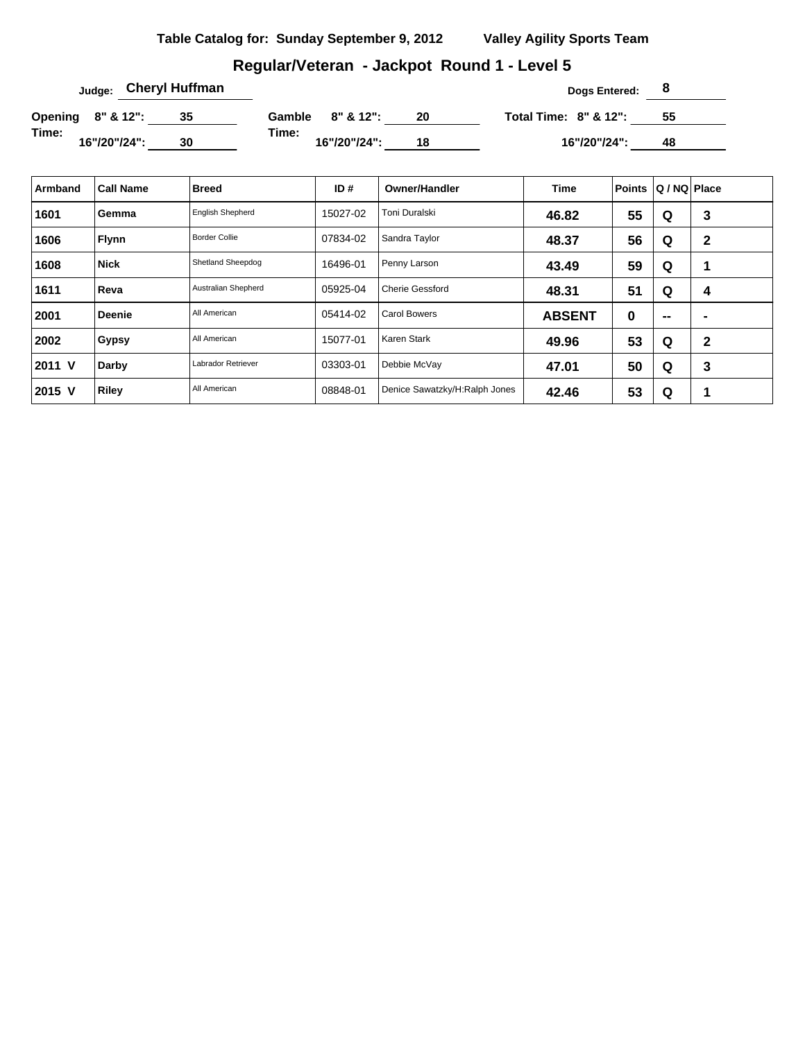# **Regular/Veteran - Jackpot Round 1 - Level 5**

| <sub>Judge:</sub> Cheryl Huffman |              |  |    |       |                  |    | Dogs Entered:                    |    |  |
|----------------------------------|--------------|--|----|-------|------------------|----|----------------------------------|----|--|
| Opening 8" & 12":                |              |  | 35 |       | Gamble 8" & 12": | 20 | <b>Total Time: 8" &amp; 12":</b> | 55 |  |
| Time:                            | 16"/20"/24": |  | 30 | Time: | 16"/20"/24":     | 18 | 16"/20"/24":                     | 48 |  |

| Armband | <b>Call Name</b> | <b>Breed</b>            | ID#      | <b>Owner/Handler</b>          | <b>Time</b>   | Points   | $ Q/NQ $ Place           |                |
|---------|------------------|-------------------------|----------|-------------------------------|---------------|----------|--------------------------|----------------|
| 1601    | Gemma            | <b>English Shepherd</b> | 15027-02 | Toni Duralski                 | 46.82         | 55       | Q                        | 3              |
| 1606    | <b>Flynn</b>     | <b>Border Collie</b>    | 07834-02 | Sandra Taylor                 | 48.37         | 56       | Q                        | $\mathbf{2}$   |
| 1608    | <b>Nick</b>      | Shetland Sheepdog       | 16496-01 | Penny Larson                  | 43.49         | 59       | Q                        | 1              |
| 1611    | Reva             | Australian Shepherd     | 05925-04 | <b>Cherie Gessford</b>        | 48.31         | 51       | Q                        | 4              |
| 2001    | <b>Deenie</b>    | All American            | 05414-02 | <b>Carol Bowers</b>           | <b>ABSENT</b> | $\bf{0}$ | $\overline{\phantom{a}}$ | $\blacksquare$ |
| 2002    | <b>Gypsy</b>     | All American            | 15077-01 | Karen Stark                   | 49.96         | 53       | Q                        | $\mathbf{2}$   |
| 2011 V  | Darby            | Labrador Retriever      | 03303-01 | Debbie McVay                  | 47.01         | 50       | Q                        | 3              |
| 2015 V  | Riley            | All American            | 08848-01 | Denice Sawatzky/H:Ralph Jones | 42.46         | 53       | Q                        | 1              |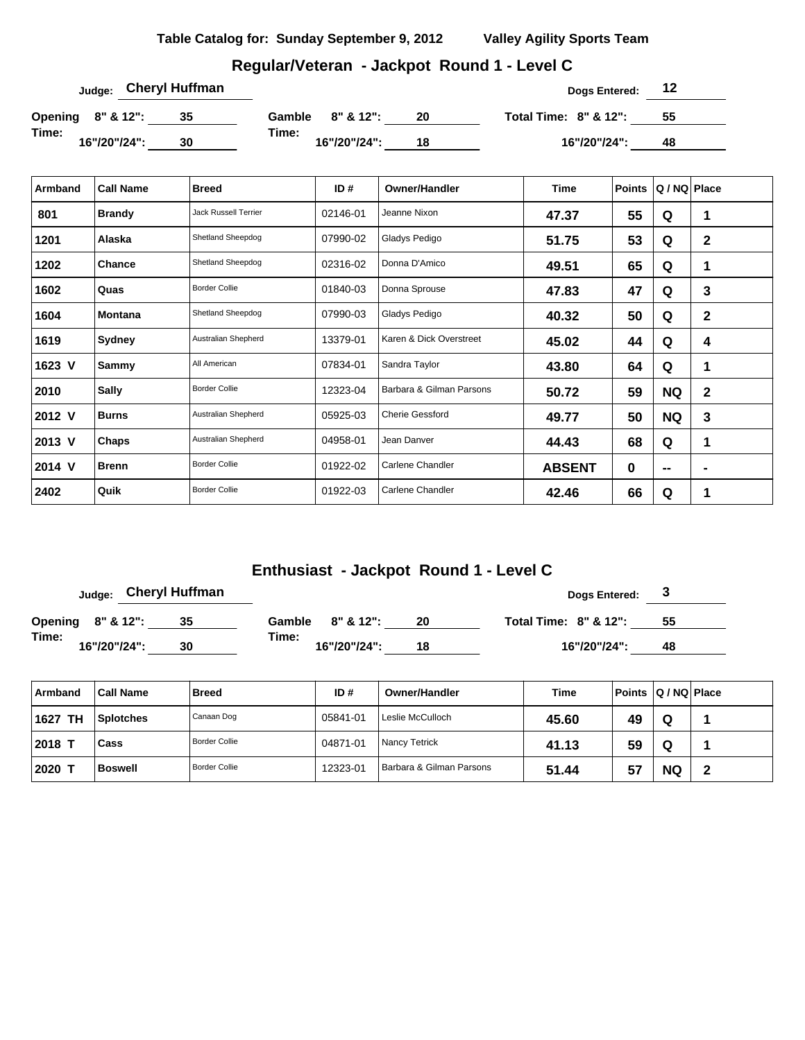| Table Catalog for: Sunday September 9, 2012 | <b>Valley Agility Sports Team</b> |
|---------------------------------------------|-----------------------------------|
|                                             |                                   |

# **Regular/Veteran - Jackpot Round 1 - Level C**

| <sub>Judge:</sub> Cheryl Huffman |    |        |              | Dogs Entered: | 12                               |    |  |
|----------------------------------|----|--------|--------------|---------------|----------------------------------|----|--|
| Opening 8" & 12":                | 35 | Gamble | $8"$ & 12":  | 20            | <b>Total Time: 8" &amp; 12":</b> | 55 |  |
| Time:<br>16"/20"/24":            | 30 | Time:  | 16"/20"/24": | 18            | 16"/20"/24":                     | 48 |  |

| Armband | <b>Call Name</b> | <b>Breed</b>                | ID#      | <b>Owner/Handler</b>     | <b>Time</b>   | <b>Points</b> | Q / NQ Place      |                          |
|---------|------------------|-----------------------------|----------|--------------------------|---------------|---------------|-------------------|--------------------------|
| 801     | <b>Brandy</b>    | <b>Jack Russell Terrier</b> | 02146-01 | Jeanne Nixon             | 47.37         | 55            | Q                 | 1                        |
| 1201    | Alaska           | Shetland Sheepdog           | 07990-02 | Gladys Pedigo            | 51.75         | 53            | Q                 | $\mathbf 2$              |
| 1202    | Chance           | Shetland Sheepdog           | 02316-02 | Donna D'Amico            | 49.51         | 65            | Q                 | 1                        |
| 1602    | Quas             | <b>Border Collie</b>        | 01840-03 | Donna Sprouse            | 47.83         | 47            | Q                 | 3                        |
| 1604    | <b>Montana</b>   | Shetland Sheepdog           | 07990-03 | Gladys Pedigo            | 40.32         | 50            | Q                 | $\mathbf{2}$             |
| 1619    | Sydney           | Australian Shepherd         | 13379-01 | Karen & Dick Overstreet  | 45.02         | 44            | Q                 | 4                        |
| 1623 V  | Sammy            | All American                | 07834-01 | Sandra Taylor            | 43.80         | 64            | Q                 | 1                        |
| 2010    | <b>Sally</b>     | <b>Border Collie</b>        | 12323-04 | Barbara & Gilman Parsons | 50.72         | 59            | <b>NQ</b>         | $\mathbf 2$              |
| 2012 V  | <b>Burns</b>     | Australian Shepherd         | 05925-03 | <b>Cherie Gessford</b>   | 49.77         | 50            | <b>NQ</b>         | 3                        |
| 2013 V  | Chaps            | Australian Shepherd         | 04958-01 | Jean Danver              | 44.43         | 68            | Q                 | 1                        |
| 2014 V  | <b>Brenn</b>     | <b>Border Collie</b>        | 01922-02 | Carlene Chandler         | <b>ABSENT</b> | $\bf{0}$      | $\hspace{0.05cm}$ | $\overline{\phantom{0}}$ |
| 2402    | Quik             | <b>Border Collie</b>        | 01922-03 | Carlene Chandler         | 42.46         | 66            | Q                 | 1                        |

|                       | <sub>Judge:</sub> Cheryl Huffman |        |              |    | Dogs Entered: 3                  |    |
|-----------------------|----------------------------------|--------|--------------|----|----------------------------------|----|
| Opening 8" & 12":     | 35                               | Gamble | 8" & 12":    | 20 | <b>Total Time: 8" &amp; 12":</b> | 55 |
| Time:<br>16"/20"/24": | 30                               | Time:  | 16"/20"/24": | 18 | 16"/20"/24":                     | 48 |

| Armband           | <b>Call Name</b> | Breed                | ID#      | <b>Owner/Handler</b>     | Time  | Points Q / NQ Place |           |   |
|-------------------|------------------|----------------------|----------|--------------------------|-------|---------------------|-----------|---|
| <b>TH</b><br>1627 | <b>Splotches</b> | Canaan Dog           | 05841-01 | Leslie McCulloch         | 45.60 | 49                  | Q         |   |
| 2018 T            | <b>Cass</b>      | Border Collie        | 04871-01 | <b>Nancy Tetrick</b>     | 41.13 | 59                  | Q         |   |
| 2020              | <b>Boswell</b>   | <b>Border Collie</b> | 12323-01 | Barbara & Gilman Parsons | 51.44 | 57                  | <b>NQ</b> | 2 |